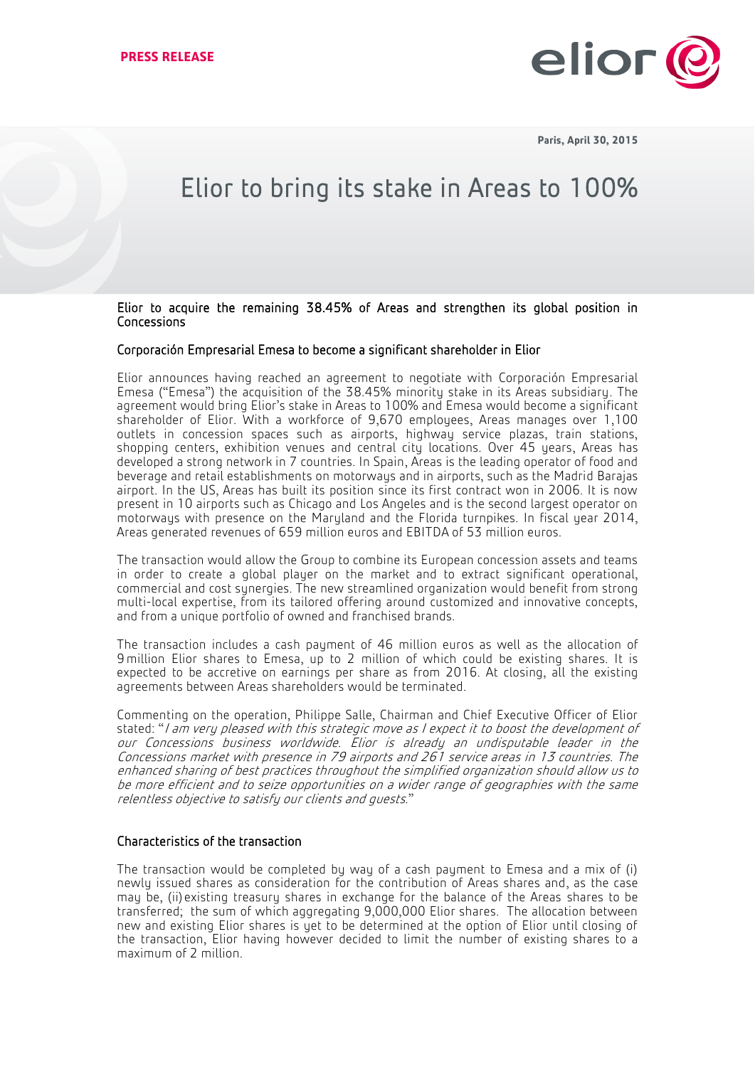

**Paris, April 30, 2015**

## Elior to bring its stake in Areas to 100%

Elior to acquire the remaining 38.45% of Areas and strengthen its global position in Concessions

## Corporación Empresarial Emesa to become a significant shareholder in Elior

Elior announces having reached an agreement to negotiate with Corporación Empresarial Emesa ("Emesa") the acquisition of the 38.45% minority stake in its Areas subsidiary. The agreement would bring Elior's stake in Areas to 100% and Emesa would become a significant shareholder of Elior. With a workforce of 9,670 employees, Areas manages over 1,100 outlets in concession spaces such as airports, highway service plazas, train stations, shopping centers, exhibition venues and central city locations. Over 45 years, Areas has developed a strong network in 7 countries. In Spain, Areas is the leading operator of food and beverage and retail establishments on motorways and in airports, such as the Madrid Barajas airport. In the US, Areas has built its position since its first contract won in 2006. It is now present in 10 airports such as Chicago and Los Angeles and is the second largest operator on motorways with presence on the Maryland and the Florida turnpikes. In fiscal year 2014, Areas generated revenues of 659 million euros and EBITDA of 53 million euros.

The transaction would allow the Group to combine its European concession assets and teams in order to create a global player on the market and to extract significant operational, commercial and cost synergies. The new streamlined organization would benefit from strong multi-local expertise, from its tailored offering around customized and innovative concepts, and from a unique portfolio of owned and franchised brands.

The transaction includes a cash payment of 46 million euros as well as the allocation of 9 million Elior shares to Emesa, up to 2 million of which could be existing shares. It is expected to be accretive on earnings per share as from 2016. At closing, all the existing agreements between Areas shareholders would be terminated.

Commenting on the operation, Philippe Salle, Chairman and Chief Executive Officer of Elior stated: "I am very pleased with this strategic move as I expect it to boost the development of our Concessions business worldwide. Elior is already an undisputable leader in the Concessions market with presence in 79 airports and 261 service areas in 13 countries. The enhanced sharing of best practices throughout the simplified organization should allow us to be more efficient and to seize opportunities on a wider range of geographies with the same relentless objective to satisfy our clients and guests."

## Characteristics of the transaction

The transaction would be completed by way of a cash payment to Emesa and a mix of (i) newly issued shares as consideration for the contribution of Areas shares and, as the case may be, (ii) existing treasury shares in exchange for the balance of the Areas shares to be transferred; the sum of which aggregating 9,000,000 Elior shares. The allocation between new and existing Elior shares is yet to be determined at the option of Elior until closing of the transaction, Elior having however decided to limit the number of existing shares to a maximum of 2 million.